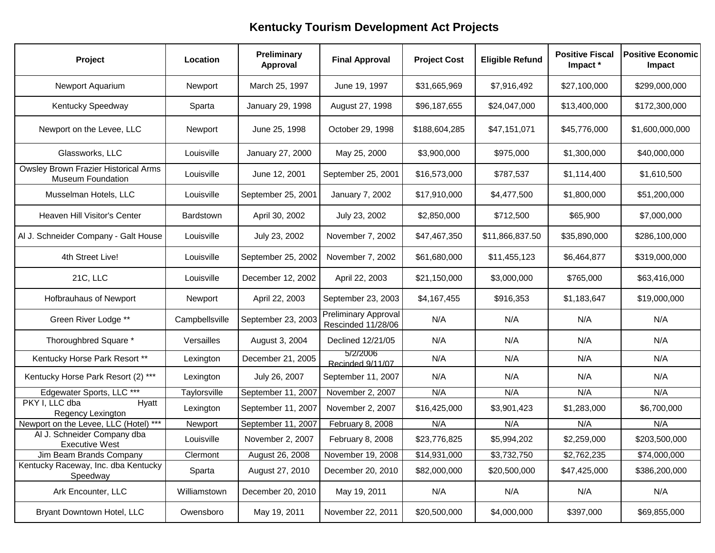| Project                                                          | Location         | Preliminary<br>Approval | <b>Final Approval</b>                             | <b>Project Cost</b> | <b>Eligible Refund</b> | <b>Positive Fiscal</b><br>Impact * | <b>Positive Economic</b><br>Impact |
|------------------------------------------------------------------|------------------|-------------------------|---------------------------------------------------|---------------------|------------------------|------------------------------------|------------------------------------|
| Newport Aquarium                                                 | Newport          | March 25, 1997          | June 19, 1997                                     | \$31,665,969        | \$7,916,492            | \$27,100,000                       | \$299,000,000                      |
| Kentucky Speedway                                                | Sparta           | January 29, 1998        | August 27, 1998                                   | \$96,187,655        | \$24,047,000           | \$13,400,000                       | \$172,300,000                      |
| Newport on the Levee, LLC                                        | Newport          | June 25, 1998           | October 29, 1998                                  | \$188,604,285       | \$47,151,071           | \$45,776,000                       | \$1,600,000,000                    |
| Glassworks, LLC                                                  | Louisville       | January 27, 2000        | May 25, 2000                                      | \$3,900,000         | \$975,000              | \$1,300,000                        | \$40,000,000                       |
| Owsley Brown Frazier Historical Arms<br><b>Museum Foundation</b> | Louisville       | June 12, 2001           | September 25, 2001                                | \$16,573,000        | \$787,537              | \$1,114,400                        | \$1,610,500                        |
| Musselman Hotels, LLC                                            | Louisville       | September 25, 2001      | January 7, 2002                                   | \$17,910,000        | \$4,477,500            | \$1,800,000                        | \$51,200,000                       |
| Heaven Hill Visitor's Center                                     | <b>Bardstown</b> | April 30, 2002          | July 23, 2002                                     | \$2,850,000         | \$712,500              | \$65,900                           | \$7,000,000                        |
| Al J. Schneider Company - Galt House                             | Louisville       | July 23, 2002           | November 7, 2002                                  | \$47,467,350        | \$11,866,837.50        | \$35,890,000                       | \$286,100,000                      |
| 4th Street Live!                                                 | Louisville       | September 25, 2002      | November 7, 2002                                  | \$61,680,000        | \$11,455,123           | \$6,464,877                        | \$319,000,000                      |
| 21C, LLC                                                         | Louisville       | December 12, 2002       | April 22, 2003                                    | \$21,150,000        | \$3,000,000            | \$765,000                          | \$63,416,000                       |
| <b>Hofbrauhaus of Newport</b>                                    | Newport          | April 22, 2003          | September 23, 2003                                | \$4,167,455         | \$916,353              | \$1,183,647                        | \$19,000,000                       |
| Green River Lodge **                                             | Campbellsville   | September 23, 2003      | <b>Preliminary Approval</b><br>Rescinded 11/28/06 | N/A                 | N/A                    | N/A                                | N/A                                |
| Thoroughbred Square *                                            | Versailles       | August 3, 2004          | Declined 12/21/05                                 | N/A                 | N/A                    | N/A                                | N/A                                |
| Kentucky Horse Park Resort **                                    | Lexington        | December 21, 2005       | 5/2/2006<br>Recinded 9/11/07                      | N/A                 | N/A                    | N/A                                | N/A                                |
| Kentucky Horse Park Resort (2) ***                               | Lexington        | July 26, 2007           | September 11, 2007                                | N/A                 | N/A                    | N/A                                | N/A                                |
| Edgewater Sports, LLC ***                                        | Taylorsville     | September 11, 2007      | November 2, 2007                                  | N/A                 | N/A                    | N/A                                | N/A                                |
| PKY I, LLC dba<br>Hyatt<br>Regency Lexington                     | Lexington        | September 11, 2007      | November 2, 2007                                  | \$16,425,000        | \$3,901,423            | \$1,283,000                        | \$6,700,000                        |
| Newport on the Levee, LLC (Hotel) ***                            | Newport          | September 11, 2007      | February 8, 2008                                  | N/A                 | N/A                    | N/A                                | N/A                                |
| Al J. Schneider Company dba<br><b>Executive West</b>             | Louisville       | November 2, 2007        | February 8, 2008                                  | \$23,776,825        | \$5,994,202            | \$2,259,000                        | \$203,500,000                      |
| Jim Beam Brands Company                                          | Clermont         | August 26, 2008         | November 19, 2008                                 | \$14,931,000        | \$3,732,750            | \$2,762,235                        | \$74,000,000                       |
| Kentucky Raceway, Inc. dba Kentucky<br>Speedway                  | Sparta           | August 27, 2010         | December 20, 2010                                 | \$82,000,000        | \$20,500,000           | \$47,425,000                       | \$386,200,000                      |
| Ark Encounter, LLC                                               | Williamstown     | December 20, 2010       | May 19, 2011                                      | N/A                 | N/A                    | N/A                                | N/A                                |
| Bryant Downtown Hotel, LLC                                       | Owensboro        | May 19, 2011            | November 22, 2011                                 | \$20,500,000        | \$4,000,000            | \$397,000                          | \$69,855,000                       |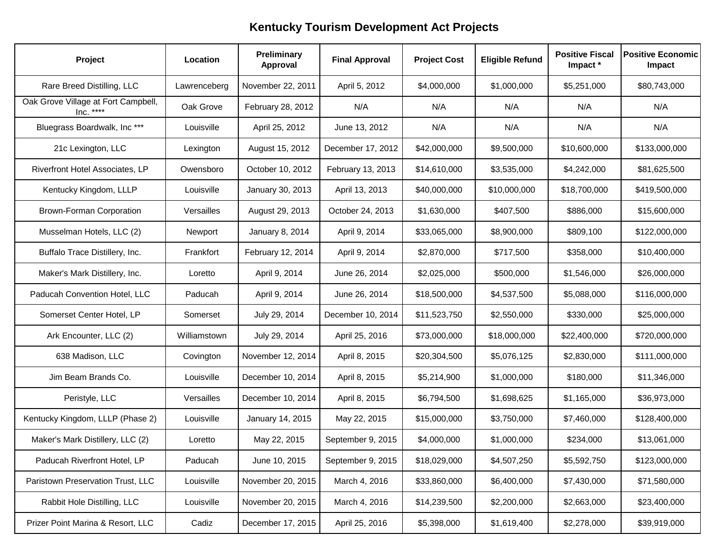| Project                                          | Location     | Preliminary<br>Approval | <b>Final Approval</b> | <b>Project Cost</b> | <b>Eligible Refund</b> | <b>Positive Fiscal</b><br>Impact * | <b>Positive Economic</b><br>Impact |
|--------------------------------------------------|--------------|-------------------------|-----------------------|---------------------|------------------------|------------------------------------|------------------------------------|
| Rare Breed Distilling, LLC                       | Lawrenceberg | November 22, 2011       | April 5, 2012         | \$4,000,000         | \$1,000,000            | \$5,251,000                        | \$80,743,000                       |
| Oak Grove Village at Fort Campbell,<br>Inc. **** | Oak Grove    | February 28, 2012       | N/A                   | N/A                 | N/A                    | N/A                                | N/A                                |
| Bluegrass Boardwalk, Inc ***                     | Louisville   | April 25, 2012          | June 13, 2012         | N/A                 | N/A                    | N/A                                | N/A                                |
| 21c Lexington, LLC                               | Lexington    | August 15, 2012         | December 17, 2012     | \$42,000,000        | \$9,500,000            | \$10,600,000                       | \$133,000,000                      |
| Riverfront Hotel Associates, LP                  | Owensboro    | October 10, 2012        | February 13, 2013     | \$14,610,000        | \$3,535,000            | \$4,242,000                        | \$81,625,500                       |
| Kentucky Kingdom, LLLP                           | Louisville   | January 30, 2013        | April 13, 2013        | \$40,000,000        | \$10,000,000           | \$18,700,000                       | \$419,500,000                      |
| <b>Brown-Forman Corporation</b>                  | Versailles   | August 29, 2013         | October 24, 2013      | \$1,630,000         | \$407,500              | \$886,000                          | \$15,600,000                       |
| Musselman Hotels, LLC (2)                        | Newport      | January 8, 2014         | April 9, 2014         | \$33,065,000        | \$8,900,000            | \$809,100                          | \$122,000,000                      |
| Buffalo Trace Distillery, Inc.                   | Frankfort    | February 12, 2014       | April 9, 2014         | \$2,870,000         | \$717,500              | \$358,000                          | \$10,400,000                       |
| Maker's Mark Distillery, Inc.                    | Loretto      | April 9, 2014           | June 26, 2014         | \$2,025,000         | \$500,000              | \$1,546,000                        | \$26,000,000                       |
| Paducah Convention Hotel, LLC                    | Paducah      | April 9, 2014           | June 26, 2014         | \$18,500,000        | \$4,537,500            | \$5,088,000                        | \$116,000,000                      |
| Somerset Center Hotel, LP                        | Somerset     | July 29, 2014           | December 10, 2014     | \$11,523,750        | \$2,550,000            | \$330,000                          | \$25,000,000                       |
| Ark Encounter, LLC (2)                           | Williamstown | July 29, 2014           | April 25, 2016        | \$73,000,000        | \$18,000,000           | \$22,400,000                       | \$720,000,000                      |
| 638 Madison, LLC                                 | Covington    | November 12, 2014       | April 8, 2015         | \$20,304,500        | \$5,076,125            | \$2,830,000                        | \$111,000,000                      |
| Jim Beam Brands Co.                              | Louisville   | December 10, 2014       | April 8, 2015         | \$5,214,900         | \$1,000,000            | \$180,000                          | \$11,346,000                       |
| Peristyle, LLC                                   | Versailles   | December 10, 2014       | April 8, 2015         | \$6,794,500         | \$1,698,625            | \$1,165,000                        | \$36,973,000                       |
| Kentucky Kingdom, LLLP (Phase 2)                 | Louisville   | January 14, 2015        | May 22, 2015          | \$15,000,000        | \$3,750,000            | \$7,460,000                        | \$128,400,000                      |
| Maker's Mark Distillery, LLC (2)                 | Loretto      | May 22, 2015            | September 9, 2015     | \$4,000,000         | \$1,000,000            | \$234,000                          | \$13,061,000                       |
| Paducah Riverfront Hotel, LP                     | Paducah      | June 10, 2015           | September 9, 2015     | \$18,029,000        | \$4,507,250            | \$5,592,750                        | \$123,000,000                      |
| Paristown Preservation Trust, LLC                | Louisville   | November 20, 2015       | March 4, 2016         | \$33,860,000        | \$6,400,000            | \$7,430,000                        | \$71,580,000                       |
| Rabbit Hole Distilling, LLC                      | Louisville   | November 20, 2015       | March 4, 2016         | \$14,239,500        | \$2,200,000            | \$2,663,000                        | \$23,400,000                       |
| Prizer Point Marina & Resort, LLC                | Cadiz        | December 17, 2015       | April 25, 2016        | \$5,398,000         | \$1,619,400            | \$2,278,000                        | \$39,919,000                       |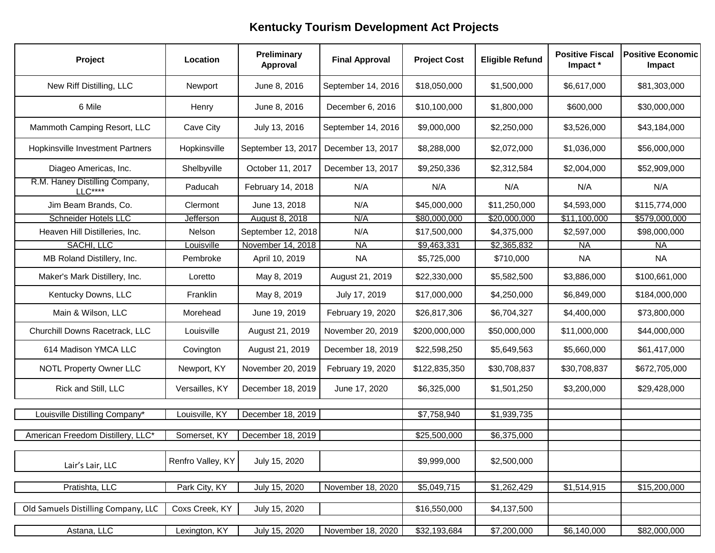| Project                                    | Location          | Preliminary<br>Approval | <b>Final Approval</b> | <b>Project Cost</b> | <b>Eligible Refund</b> | <b>Positive Fiscal</b><br>Impact * | <b>Positive Economic</b><br>Impact |
|--------------------------------------------|-------------------|-------------------------|-----------------------|---------------------|------------------------|------------------------------------|------------------------------------|
| New Riff Distilling, LLC                   | Newport           | June 8, 2016            | September 14, 2016    | \$18,050,000        | \$1,500,000            | \$6,617,000                        | \$81,303,000                       |
| 6 Mile                                     | Henry             | June 8, 2016            | December 6, 2016      | \$10,100,000        | \$1,800,000            | \$600,000                          | \$30,000,000                       |
| Mammoth Camping Resort, LLC                | Cave City         | July 13, 2016           | September 14, 2016    | \$9,000,000         | \$2,250,000            | \$3,526,000                        | \$43,184,000                       |
| <b>Hopkinsville Investment Partners</b>    | Hopkinsville      | September 13, 2017      | December 13, 2017     | \$8,288,000         | \$2,072,000            | \$1,036,000                        | \$56,000,000                       |
| Diageo Americas, Inc.                      | Shelbyville       | October 11, 2017        | December 13, 2017     | \$9,250,336         | \$2,312,584            | \$2,004,000                        | \$52,909,000                       |
| R.M. Haney Distilling Company,<br>$LLC***$ | Paducah           | February 14, 2018       | N/A                   | N/A                 | N/A                    | N/A                                | N/A                                |
| Jim Beam Brands, Co.                       | Clermont          | June 13, 2018           | N/A                   | \$45,000,000        | \$11,250,000           | \$4,593,000                        | \$115,774,000                      |
| <b>Schneider Hotels LLC</b>                | Jefferson         | August 8, 2018          | N/A                   | \$80,000,000        | \$20,000,000           | \$11,100,000                       | \$579,000,000                      |
| Heaven Hill Distilleries, Inc.             | Nelson            | September 12, 2018      | N/A                   | \$17,500,000        | \$4,375,000            | \$2,597,000                        | \$98,000,000                       |
| SACHI, LLC                                 | Louisville        | November 14, 2018       | <b>NA</b>             | \$9,463,331         | \$2,365,832            | NA.                                | <b>NA</b>                          |
| MB Roland Distillery, Inc.                 | Pembroke          | April 10, 2019          | <b>NA</b>             | \$5,725,000         | \$710,000              | <b>NA</b>                          | <b>NA</b>                          |
| Maker's Mark Distillery, Inc.              | Loretto           | May 8, 2019             | August 21, 2019       | \$22,330,000        | \$5,582,500            | \$3,886,000                        | \$100,661,000                      |
| Kentucky Downs, LLC                        | Franklin          | May 8, 2019             | July 17, 2019         | \$17,000,000        | \$4,250,000            | \$6,849,000                        | \$184,000,000                      |
| Main & Wilson, LLC                         | Morehead          | June 19, 2019           | February 19, 2020     | \$26,817,306        | \$6,704,327            | \$4,400,000                        | \$73,800,000                       |
| Churchill Downs Racetrack, LLC             | Louisville        | August 21, 2019         | November 20, 2019     | \$200,000,000       | \$50,000,000           | \$11,000,000                       | \$44,000,000                       |
| 614 Madison YMCA LLC                       | Covington         | August 21, 2019         | December 18, 2019     | \$22,598,250        | \$5,649,563            | \$5,660,000                        | \$61,417,000                       |
| <b>NOTL Property Owner LLC</b>             | Newport, KY       | November 20, 2019       | February 19, 2020     | \$122,835,350       | \$30,708,837           | \$30,708,837                       | \$672,705,000                      |
| Rick and Still, LLC                        | Versailles, KY    | December 18, 2019       | June 17, 2020         | \$6,325,000         | \$1,501,250            | \$3,200,000                        | \$29,428,000                       |
| Louisville Distilling Company*             | Louisville, KY    | December 18, 2019       |                       | \$7,758,940         | \$1,939,735            |                                    |                                    |
|                                            |                   |                         |                       |                     |                        |                                    |                                    |
| American Freedom Distillery, LLC*          | Somerset, KY      | December 18, 2019       |                       | \$25,500,000        | \$6,375,000            |                                    |                                    |
| Lair's Lair, LLC                           | Renfro Valley, KY | July 15, 2020           |                       | \$9,999,000         | \$2,500,000            |                                    |                                    |
| Pratishta, LLC                             | Park City, KY     | July 15, 2020           | November 18, 2020     | \$5,049,715         | \$1,262,429            | \$1,514,915                        | \$15,200,000                       |
| Old Samuels Distilling Company, LLC        | Coxs Creek, KY    | July 15, 2020           |                       | \$16,550,000        | \$4,137,500            |                                    |                                    |
| Astana, LLC                                | Lexington, KY     | July 15, 2020           | November 18, 2020     | \$32,193,684        | \$7,200,000            | \$6,140,000                        | \$82,000,000                       |